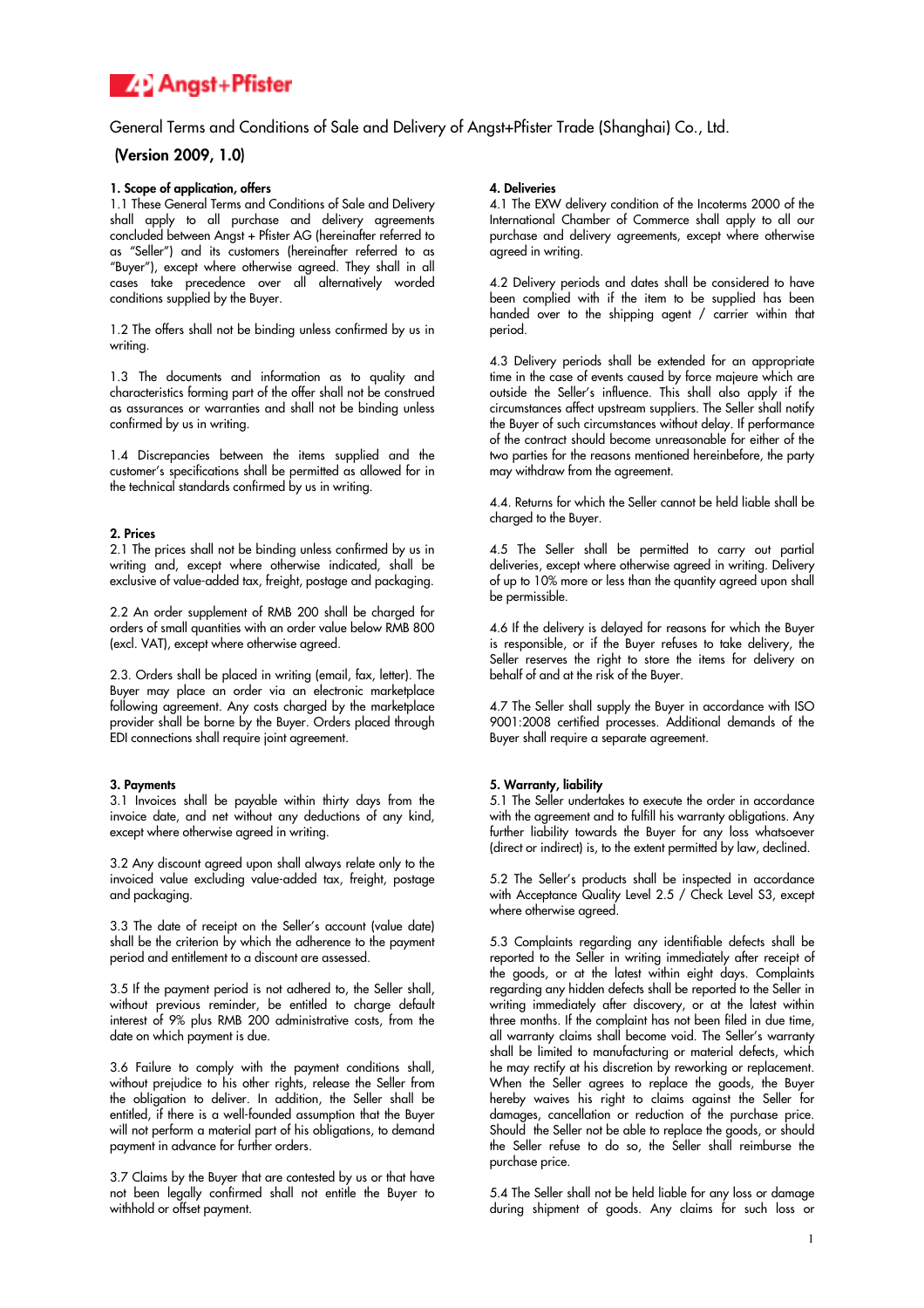

General Terms and Conditions of Sale and Delivery of Angst+Pfister Trade (Shanghai) Co., Ltd.

# (Version 2009, 1.0)

## 1. Scope of application, offers

1.1 These General Terms and Conditions of Sale and Delivery shall apply to all purchase and delivery agreements concluded between Angst + Pfister AG (hereinafter referred to as "Seller") and its customers (hereinafter referred to as "Buyer"), except where otherwise agreed. They shall in all cases take precedence over all alternatively worded conditions supplied by the Buyer.

1.2 The offers shall not be binding unless confirmed by us in writing.

1.3 The documents and information as to quality and characteristics forming part of the offer shall not be construed as assurances or warranties and shall not be binding unless confirmed by us in writing.

1.4 Discrepancies between the items supplied and the customer's specifications shall be permitted as allowed for in the technical standards confirmed by us in writing.

### 2. Prices

2.1 The prices shall not be binding unless confirmed by us in writing and, except where otherwise indicated, shall be exclusive of value-added tax, freight, postage and packaging.

2.2 An order supplement of RMB 200 shall be charged for orders of small quantities with an order value below RMB 800 (excl. VAT), except where otherwise agreed.

2.3. Orders shall be placed in writing (email, fax, letter). The Buyer may place an order via an electronic marketplace following agreement. Any costs charged by the marketplace provider shall be borne by the Buyer. Orders placed through EDI connections shall require joint agreement.

### 3. Payments

3.1 Invoices shall be payable within thirty days from the invoice date, and net without any deductions of any kind, except where otherwise agreed in writing.

3.2 Any discount agreed upon shall always relate only to the invoiced value excluding value-added tax, freight, postage and packaging.

3.3 The date of receipt on the Seller's account (value date) shall be the criterion by which the adherence to the payment period and entitlement to a discount are assessed.

3.5 If the payment period is not adhered to, the Seller shall, without previous reminder, be entitled to charge default interest of 9% plus RMB 200 administrative costs, from the date on which payment is due.

3.6 Failure to comply with the payment conditions shall, without prejudice to his other rights, release the Seller from the obligation to deliver. In addition, the Seller shall be entitled, if there is a well-founded assumption that the Buyer will not perform a material part of his obligations, to demand payment in advance for further orders.

3.7 Claims by the Buyer that are contested by us or that have not been legally confirmed shall not entitle the Buyer to withhold or offset payment.

### 4. Deliveries

4.1 The EXW delivery condition of the Incoterms 2000 of the International Chamber of Commerce shall apply to all our purchase and delivery agreements, except where otherwise agreed in writing.

4.2 Delivery periods and dates shall be considered to have been complied with if the item to be supplied has been handed over to the shipping agent / carrier within that period.

4.3 Delivery periods shall be extended for an appropriate time in the case of events caused by force majeure which are outside the Seller's influence. This shall also apply if the circumstances affect upstream suppliers. The Seller shall notify the Buyer of such circumstances without delay. If performance of the contract should become unreasonable for either of the two parties for the reasons mentioned hereinbefore, the party may withdraw from the agreement.

4.4. Returns for which the Seller cannot be held liable shall be charged to the Buyer.

4.5 The Seller shall be permitted to carry out partial deliveries, except where otherwise agreed in writing. Delivery of up to 10% more or less than the quantity agreed upon shall be permissible.

4.6 If the delivery is delayed for reasons for which the Buyer is responsible, or if the Buyer refuses to take delivery, the Seller reserves the right to store the items for delivery on behalf of and at the risk of the Buyer.

4.7 The Seller shall supply the Buyer in accordance with ISO 9001:2008 certified processes. Additional demands of the Buyer shall require a separate agreement.

# 5. Warranty, liability

5.1 The Seller undertakes to execute the order in accordance with the agreement and to fulfill his warranty obligations. Any further liability towards the Buyer for any loss whatsoever (direct or indirect) is, to the extent permitted by law, declined.

5.2 The Seller's products shall be inspected in accordance with Acceptance Quality Level 2.5 / Check Level S3, except where otherwise agreed.

5.3 Complaints regarding any identifiable defects shall be reported to the Seller in writing immediately after receipt of the goods, or at the latest within eight days. Complaints regarding any hidden defects shall be reported to the Seller in writing immediately after discovery, or at the latest within three months. If the complaint has not been filed in due time, all warranty claims shall become void. The Seller's warranty shall be limited to manufacturing or material defects, which he may rectify at his discretion by reworking or replacement. When the Seller agrees to replace the goods, the Buyer hereby waives his right to claims against the Seller for damages, cancellation or reduction of the purchase price. Should the Seller not be able to replace the goods, or should the Seller refuse to do so, the Seller shall reimburse the purchase price.

5.4 The Seller shall not be held liable for any loss or damage during shipment of goods. Any claims for such loss or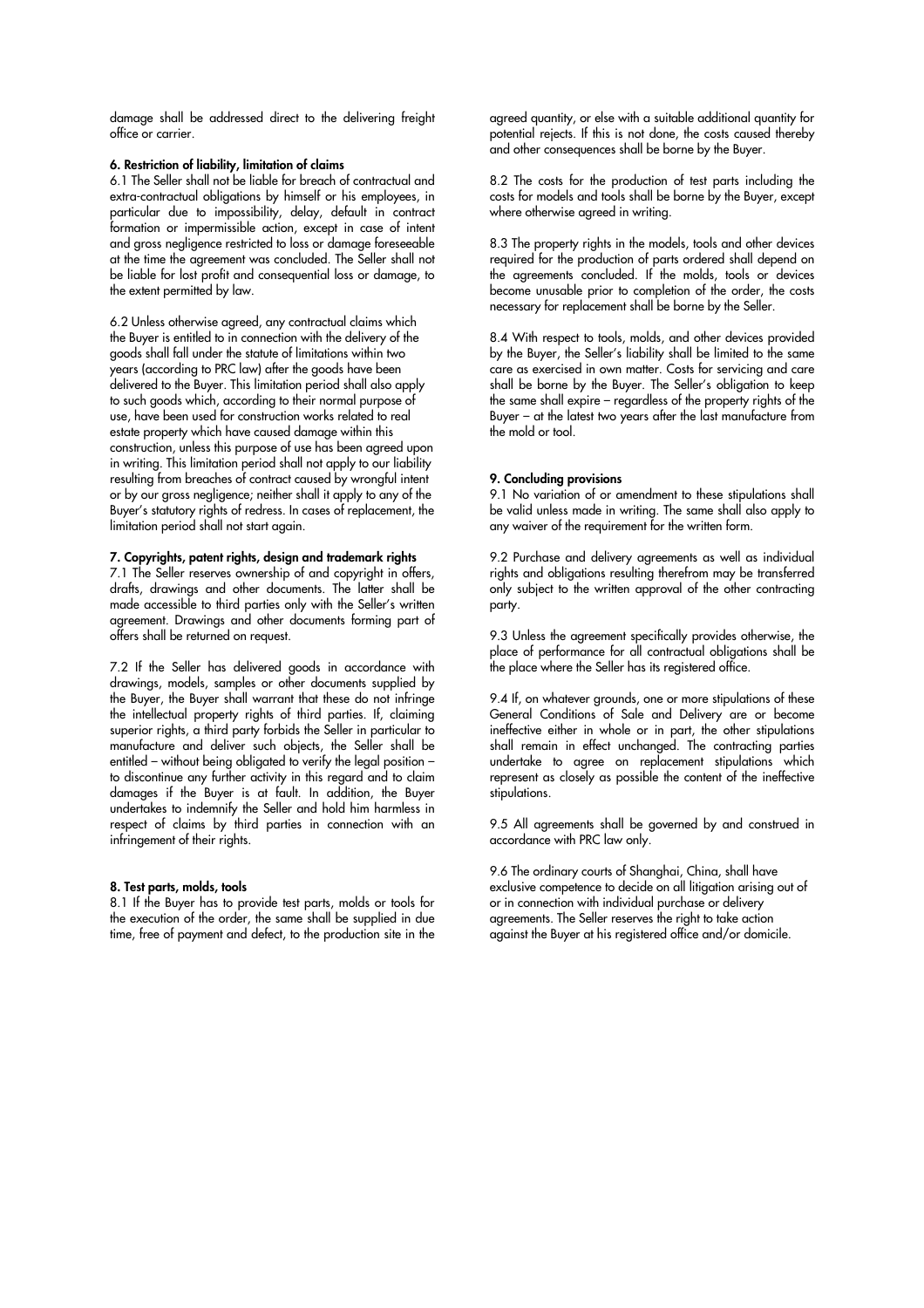damage shall be addressed direct to the delivering freight office or carrier.

## 6. Restriction of liability, limitation of claims

6.1 The Seller shall not be liable for breach of contractual and extra-contractual obligations by himself or his employees, in particular due to impossibility, delay, default in contract formation or impermissible action, except in case of intent and gross negligence restricted to loss or damage foreseeable at the time the agreement was concluded. The Seller shall not be liable for lost profit and consequential loss or damage, to the extent permitted by law.

6.2 Unless otherwise agreed, any contractual claims which the Buyer is entitled to in connection with the delivery of the goods shall fall under the statute of limitations within two years (according to PRC law) after the goods have been delivered to the Buyer. This limitation period shall also apply to such goods which, according to their normal purpose of use, have been used for construction works related to real estate property which have caused damage within this construction, unless this purpose of use has been agreed upon in writing. This limitation period shall not apply to our liability resulting from breaches of contract caused by wrongful intent or by our gross negligence; neither shall it apply to any of the Buyer's statutory rights of redress. In cases of replacement, the limitation period shall not start again.

#### 7. Copyrights, patent rights, design and trademark rights

7.1 The Seller reserves ownership of and copyright in offers, drafts, drawings and other documents. The latter shall be made accessible to third parties only with the Seller's written agreement. Drawings and other documents forming part of offers shall be returned on request.

7.2 If the Seller has delivered goods in accordance with drawings, models, samples or other documents supplied by the Buyer, the Buyer shall warrant that these do not infringe the intellectual property rights of third parties. If, claiming superior rights, a third party forbids the Seller in particular to manufacture and deliver such objects, the Seller shall be entitled – without being obligated to verify the legal position – to discontinue any further activity in this regard and to claim damages if the Buyer is at fault. In addition, the Buyer undertakes to indemnify the Seller and hold him harmless in respect of claims by third parties in connection with an infringement of their rights.

## 8. Test parts, molds, tools

8.1 If the Buyer has to provide test parts, molds or tools for the execution of the order, the same shall be supplied in due time, free of payment and defect, to the production site in the agreed quantity, or else with a suitable additional quantity for potential rejects. If this is not done, the costs caused thereby and other consequences shall be borne by the Buyer.

8.2 The costs for the production of test parts including the costs for models and tools shall be borne by the Buyer, except where otherwise agreed in writing.

8.3 The property rights in the models, tools and other devices required for the production of parts ordered shall depend on the agreements concluded. If the molds, tools or devices become unusable prior to completion of the order, the costs necessary for replacement shall be borne by the Seller.

8.4 With respect to tools, molds, and other devices provided by the Buyer, the Seller's liability shall be limited to the same care as exercised in own matter. Costs for servicing and care shall be borne by the Buyer. The Seller's obligation to keep the same shall expire – regardless of the property rights of the Buyer – at the latest two years after the last manufacture from the mold or tool.

#### 9. Concluding provisions

9.1 No variation of or amendment to these stipulations shall be valid unless made in writing. The same shall also apply to any waiver of the requirement for the written form.

9.2 Purchase and delivery agreements as well as individual rights and obligations resulting therefrom may be transferred only subject to the written approval of the other contracting party.

9.3 Unless the agreement specifically provides otherwise, the place of performance for all contractual obligations shall be the place where the Seller has its registered office.

9.4 If, on whatever grounds, one or more stipulations of these General Conditions of Sale and Delivery are or become ineffective either in whole or in part, the other stipulations shall remain in effect unchanged. The contracting parties undertake to agree on replacement stipulations which represent as closely as possible the content of the ineffective stipulations.

9.5 All agreements shall be governed by and construed in accordance with PRC law only.

9.6 The ordinary courts of Shanghai, China, shall have exclusive competence to decide on all litigation arising out of or in connection with individual purchase or delivery agreements. The Seller reserves the right to take action against the Buyer at his registered office and/or domicile.